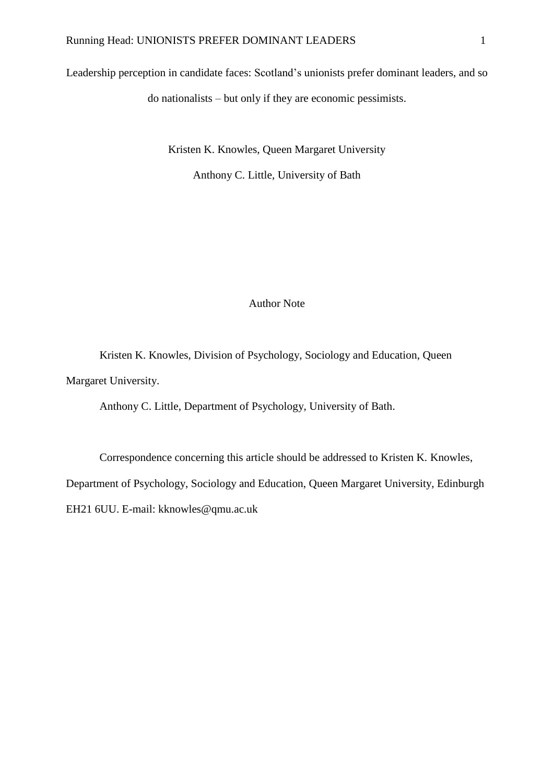Leadership perception in candidate faces: Scotland's unionists prefer dominant leaders, and so do nationalists – but only if they are economic pessimists.

Kristen K. Knowles, Queen Margaret University

Anthony C. Little, University of Bath

#### Author Note

Kristen K. Knowles, Division of Psychology, Sociology and Education, Queen Margaret University.

Anthony C. Little, Department of Psychology, University of Bath.

Correspondence concerning this article should be addressed to Kristen K. Knowles, Department of Psychology, Sociology and Education, Queen Margaret University, Edinburgh EH21 6UU. E-mail: kknowles@qmu.ac.uk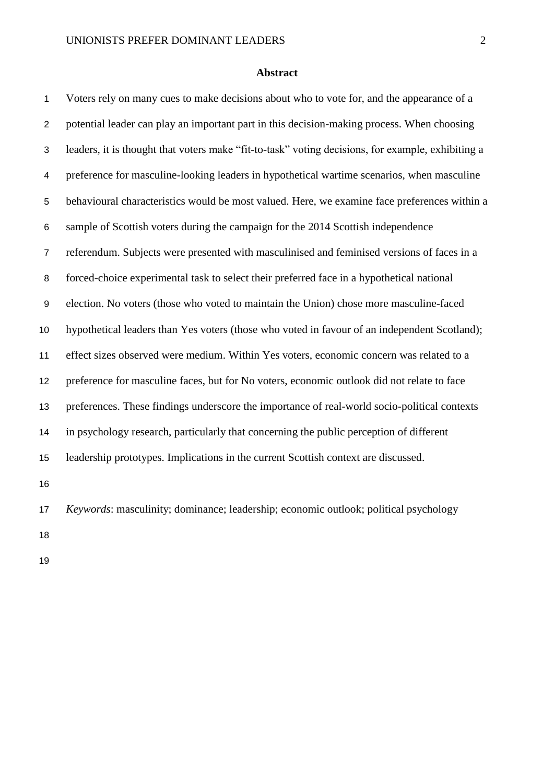#### **Abstract**

 Voters rely on many cues to make decisions about who to vote for, and the appearance of a potential leader can play an important part in this decision-making process. When choosing leaders, it is thought that voters make "fit-to-task" voting decisions, for example, exhibiting a preference for masculine-looking leaders in hypothetical wartime scenarios, when masculine behavioural characteristics would be most valued. Here, we examine face preferences within a sample of Scottish voters during the campaign for the 2014 Scottish independence referendum. Subjects were presented with masculinised and feminised versions of faces in a forced-choice experimental task to select their preferred face in a hypothetical national election. No voters (those who voted to maintain the Union) chose more masculine-faced hypothetical leaders than Yes voters (those who voted in favour of an independent Scotland); effect sizes observed were medium. Within Yes voters, economic concern was related to a preference for masculine faces, but for No voters, economic outlook did not relate to face preferences. These findings underscore the importance of real-world socio-political contexts in psychology research, particularly that concerning the public perception of different leadership prototypes. Implications in the current Scottish context are discussed. *Keywords*: masculinity; dominance; leadership; economic outlook; political psychology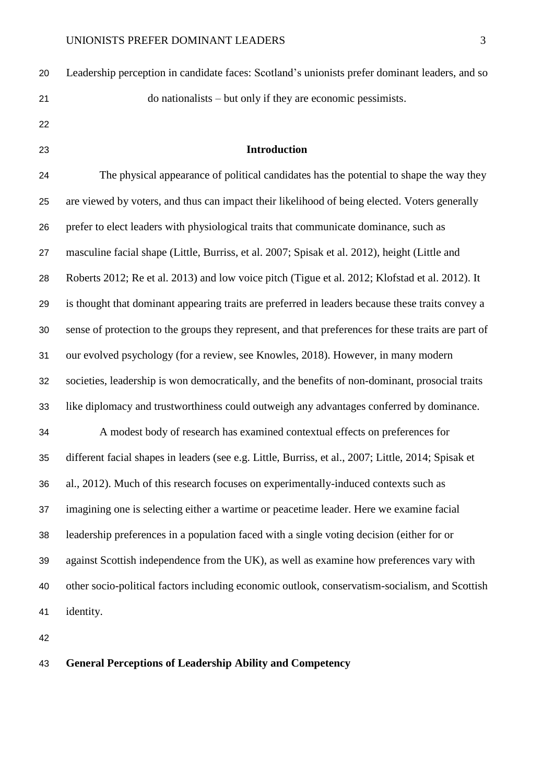| 20 | Leadership perception in candidate faces: Scotland's unionists prefer dominant leaders, and so      |
|----|-----------------------------------------------------------------------------------------------------|
| 21 | do nationalists – but only if they are economic pessimists.                                         |
| 22 |                                                                                                     |
| 23 | <b>Introduction</b>                                                                                 |
| 24 | The physical appearance of political candidates has the potential to shape the way they             |
| 25 | are viewed by voters, and thus can impact their likelihood of being elected. Voters generally       |
| 26 | prefer to elect leaders with physiological traits that communicate dominance, such as               |
| 27 | masculine facial shape (Little, Burriss, et al. 2007; Spisak et al. 2012), height (Little and       |
| 28 | Roberts 2012; Re et al. 2013) and low voice pitch (Tigue et al. 2012; Klofstad et al. 2012). It     |
| 29 | is thought that dominant appearing traits are preferred in leaders because these traits convey a    |
| 30 | sense of protection to the groups they represent, and that preferences for these traits are part of |
| 31 | our evolved psychology (for a review, see Knowles, 2018). However, in many modern                   |
| 32 | societies, leadership is won democratically, and the benefits of non-dominant, prosocial traits     |
| 33 | like diplomacy and trustworthiness could outweigh any advantages conferred by dominance.            |
| 34 | A modest body of research has examined contextual effects on preferences for                        |
| 35 | different facial shapes in leaders (see e.g. Little, Burriss, et al., 2007; Little, 2014; Spisak et |
| 36 | al., 2012). Much of this research focuses on experimentally-induced contexts such as                |
| 37 | imagining one is selecting either a wartime or peacetime leader. Here we examine facial             |
| 38 | leadership preferences in a population faced with a single voting decision (either for or           |
| 39 | against Scottish independence from the UK), as well as examine how preferences vary with            |
| 40 | other socio-political factors including economic outlook, conservatism-socialism, and Scottish      |
| 41 | identity.                                                                                           |
|    |                                                                                                     |

# **General Perceptions of Leadership Ability and Competency**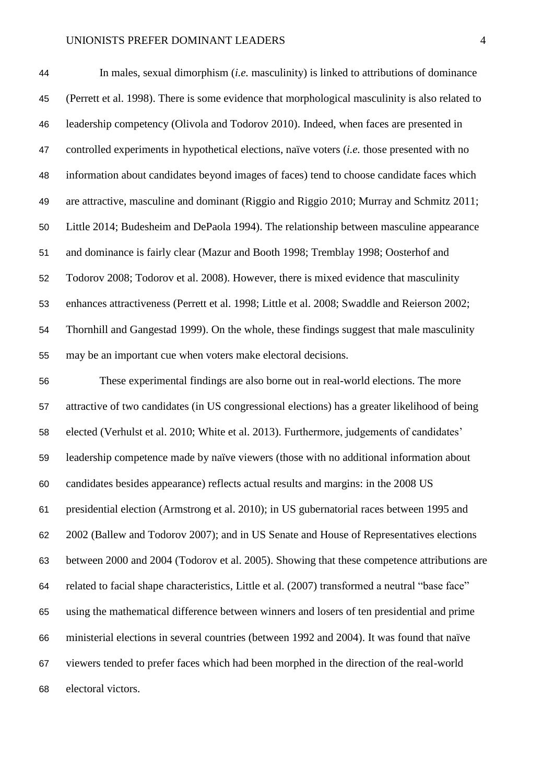| 44 | In males, sexual dimorphism <i>(i.e.</i> masculinity) is linked to attributions of dominance        |
|----|-----------------------------------------------------------------------------------------------------|
| 45 | (Perrett et al. 1998). There is some evidence that morphological masculinity is also related to     |
| 46 | leadership competency (Olivola and Todorov 2010). Indeed, when faces are presented in               |
| 47 | controlled experiments in hypothetical elections, naïve voters <i>(i.e.</i> those presented with no |
| 48 | information about candidates beyond images of faces) tend to choose candidate faces which           |
| 49 | are attractive, masculine and dominant (Riggio and Riggio 2010; Murray and Schmitz 2011;            |
| 50 | Little 2014; Budesheim and DePaola 1994). The relationship between masculine appearance             |
| 51 | and dominance is fairly clear (Mazur and Booth 1998; Tremblay 1998; Oosterhof and                   |
| 52 | Todorov 2008; Todorov et al. 2008). However, there is mixed evidence that masculinity               |
| 53 | enhances attractiveness (Perrett et al. 1998; Little et al. 2008; Swaddle and Reierson 2002;        |
| 54 | Thornhill and Gangestad 1999). On the whole, these findings suggest that male masculinity           |
| 55 | may be an important cue when voters make electoral decisions.                                       |
| 56 | These experimental findings are also borne out in real-world elections. The more                    |

 attractive of two candidates (in US congressional elections) has a greater likelihood of being elected (Verhulst et al. 2010; White et al. 2013). Furthermore, judgements of candidates' leadership competence made by naïve viewers (those with no additional information about candidates besides appearance) reflects actual results and margins: in the 2008 US presidential election (Armstrong et al. 2010); in US gubernatorial races between 1995 and 2002 (Ballew and Todorov 2007); and in US Senate and House of Representatives elections between 2000 and 2004 (Todorov et al. 2005). Showing that these competence attributions are related to facial shape characteristics, Little et al. (2007) transformed a neutral "base face" using the mathematical difference between winners and losers of ten presidential and prime ministerial elections in several countries (between 1992 and 2004). It was found that naïve viewers tended to prefer faces which had been morphed in the direction of the real-world electoral victors.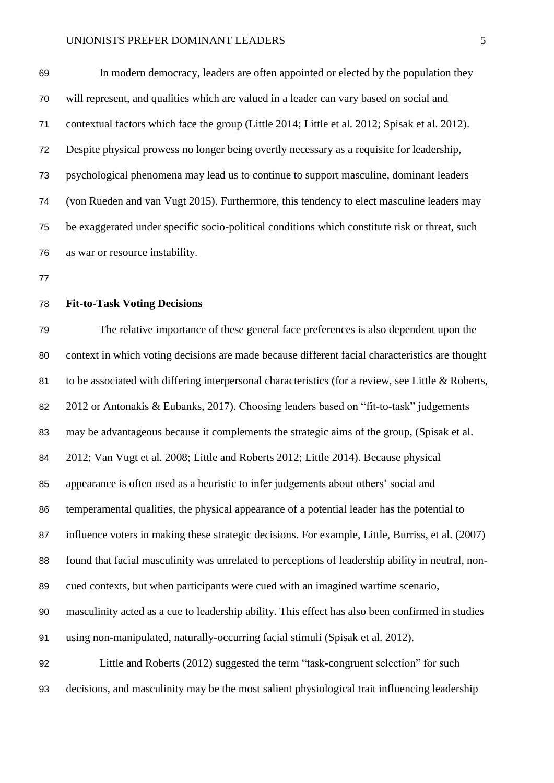In modern democracy, leaders are often appointed or elected by the population they will represent, and qualities which are valued in a leader can vary based on social and contextual factors which face the group (Little 2014; Little et al. 2012; Spisak et al. 2012). Despite physical prowess no longer being overtly necessary as a requisite for leadership, psychological phenomena may lead us to continue to support masculine, dominant leaders (von Rueden and van Vugt 2015). Furthermore, this tendency to elect masculine leaders may be exaggerated under specific socio-political conditions which constitute risk or threat, such as war or resource instability.

#### **Fit-to-Task Voting Decisions**

 The relative importance of these general face preferences is also dependent upon the context in which voting decisions are made because different facial characteristics are thought to be associated with differing interpersonal characteristics (for a review, see Little & Roberts, 2012 or Antonakis & Eubanks, 2017). Choosing leaders based on "fit-to-task" judgements may be advantageous because it complements the strategic aims of the group, (Spisak et al. 2012; Van Vugt et al. 2008; Little and Roberts 2012; Little 2014). Because physical appearance is often used as a heuristic to infer judgements about others' social and temperamental qualities, the physical appearance of a potential leader has the potential to influence voters in making these strategic decisions. For example, Little, Burriss, et al. (2007) found that facial masculinity was unrelated to perceptions of leadership ability in neutral, non- cued contexts, but when participants were cued with an imagined wartime scenario, masculinity acted as a cue to leadership ability. This effect has also been confirmed in studies using non-manipulated, naturally-occurring facial stimuli (Spisak et al. 2012). Little and Roberts (2012) suggested the term "task-congruent selection" for such decisions, and masculinity may be the most salient physiological trait influencing leadership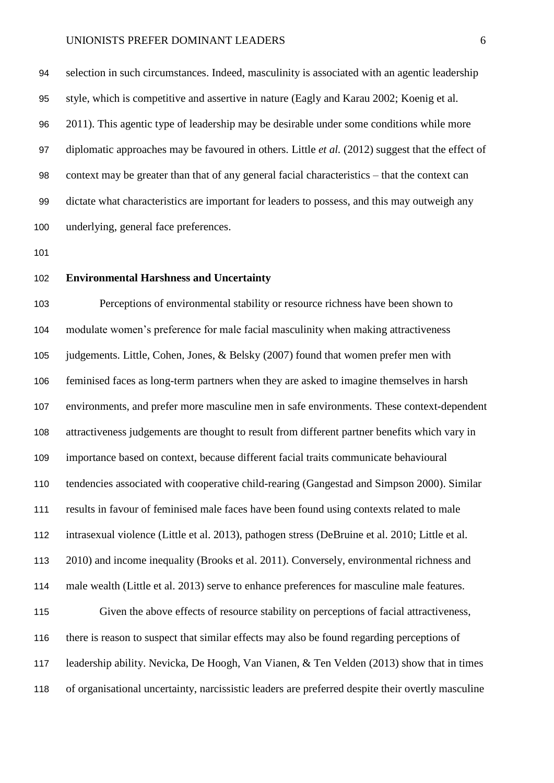selection in such circumstances. Indeed, masculinity is associated with an agentic leadership style, which is competitive and assertive in nature (Eagly and Karau 2002; Koenig et al. 2011). This agentic type of leadership may be desirable under some conditions while more diplomatic approaches may be favoured in others. Little *et al.* (2012) suggest that the effect of context may be greater than that of any general facial characteristics – that the context can dictate what characteristics are important for leaders to possess, and this may outweigh any underlying, general face preferences.

#### **Environmental Harshness and Uncertainty**

 Perceptions of environmental stability or resource richness have been shown to modulate women's preference for male facial masculinity when making attractiveness judgements. Little, Cohen, Jones, & Belsky (2007) found that women prefer men with feminised faces as long-term partners when they are asked to imagine themselves in harsh environments, and prefer more masculine men in safe environments. These context-dependent attractiveness judgements are thought to result from different partner benefits which vary in importance based on context, because different facial traits communicate behavioural tendencies associated with cooperative child-rearing (Gangestad and Simpson 2000). Similar results in favour of feminised male faces have been found using contexts related to male intrasexual violence (Little et al. 2013), pathogen stress (DeBruine et al. 2010; Little et al. 2010) and income inequality (Brooks et al. 2011). Conversely, environmental richness and male wealth (Little et al. 2013) serve to enhance preferences for masculine male features. Given the above effects of resource stability on perceptions of facial attractiveness, there is reason to suspect that similar effects may also be found regarding perceptions of leadership ability. Nevicka, De Hoogh, Van Vianen, & Ten Velden (2013) show that in times of organisational uncertainty, narcissistic leaders are preferred despite their overtly masculine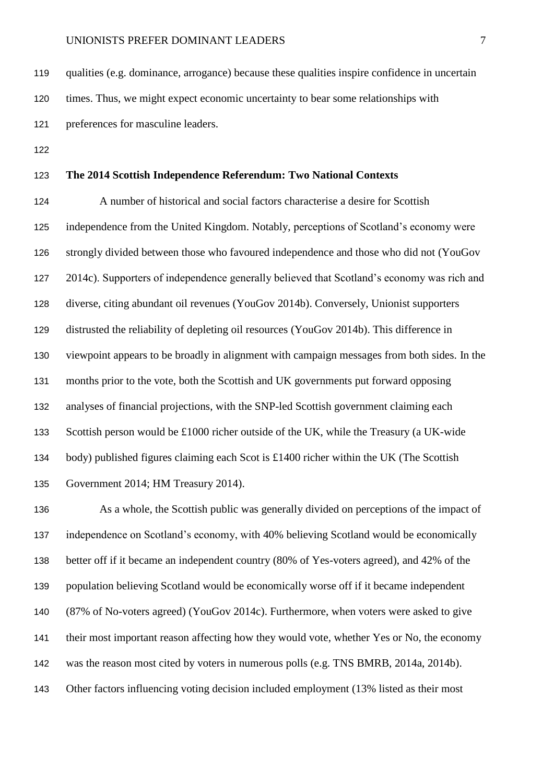qualities (e.g. dominance, arrogance) because these qualities inspire confidence in uncertain times. Thus, we might expect economic uncertainty to bear some relationships with preferences for masculine leaders.

### **The 2014 Scottish Independence Referendum: Two National Contexts**

 A number of historical and social factors characterise a desire for Scottish independence from the United Kingdom. Notably, perceptions of Scotland's economy were strongly divided between those who favoured independence and those who did not (YouGov 2014c). Supporters of independence generally believed that Scotland's economy was rich and diverse, citing abundant oil revenues (YouGov 2014b). Conversely, Unionist supporters distrusted the reliability of depleting oil resources (YouGov 2014b). This difference in viewpoint appears to be broadly in alignment with campaign messages from both sides. In the months prior to the vote, both the Scottish and UK governments put forward opposing analyses of financial projections, with the SNP-led Scottish government claiming each Scottish person would be £1000 richer outside of the UK, while the Treasury (a UK-wide body) published figures claiming each Scot is £1400 richer within the UK (The Scottish Government 2014; HM Treasury 2014).

 As a whole, the Scottish public was generally divided on perceptions of the impact of independence on Scotland's economy, with 40% believing Scotland would be economically better off if it became an independent country (80% of Yes-voters agreed), and 42% of the population believing Scotland would be economically worse off if it became independent (87% of No-voters agreed) (YouGov 2014c). Furthermore, when voters were asked to give their most important reason affecting how they would vote, whether Yes or No, the economy was the reason most cited by voters in numerous polls (e.g. TNS BMRB, 2014a, 2014b). Other factors influencing voting decision included employment (13% listed as their most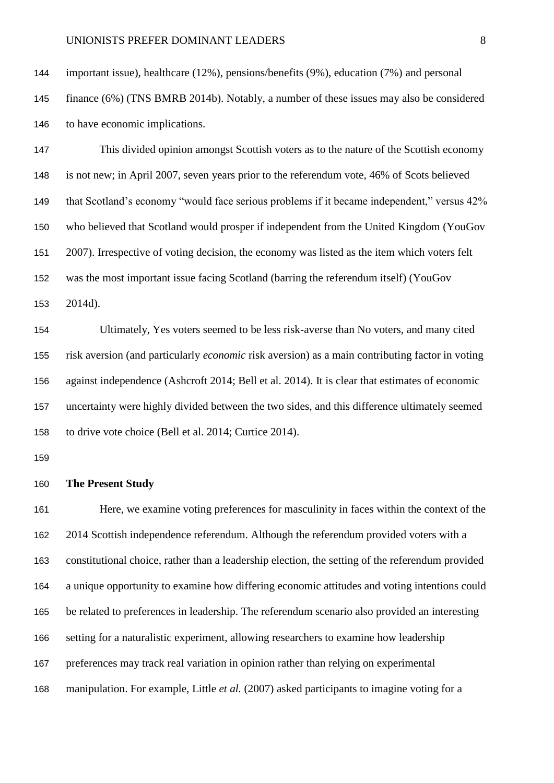important issue), healthcare (12%), pensions/benefits (9%), education (7%) and personal

 finance (6%) (TNS BMRB 2014b). Notably, a number of these issues may also be considered to have economic implications.

 This divided opinion amongst Scottish voters as to the nature of the Scottish economy is not new; in April 2007, seven years prior to the referendum vote, 46% of Scots believed that Scotland's economy "would face serious problems if it became independent," versus 42% who believed that Scotland would prosper if independent from the United Kingdom (YouGov 2007). Irrespective of voting decision, the economy was listed as the item which voters felt was the most important issue facing Scotland (barring the referendum itself) (YouGov 2014d).

 Ultimately, Yes voters seemed to be less risk-averse than No voters, and many cited risk aversion (and particularly *economic* risk aversion) as a main contributing factor in voting against independence (Ashcroft 2014; Bell et al. 2014). It is clear that estimates of economic uncertainty were highly divided between the two sides, and this difference ultimately seemed to drive vote choice (Bell et al. 2014; Curtice 2014).

#### **The Present Study**

 Here, we examine voting preferences for masculinity in faces within the context of the 2014 Scottish independence referendum. Although the referendum provided voters with a constitutional choice, rather than a leadership election, the setting of the referendum provided a unique opportunity to examine how differing economic attitudes and voting intentions could be related to preferences in leadership. The referendum scenario also provided an interesting setting for a naturalistic experiment, allowing researchers to examine how leadership preferences may track real variation in opinion rather than relying on experimental manipulation. For example, Little *et al.* (2007) asked participants to imagine voting for a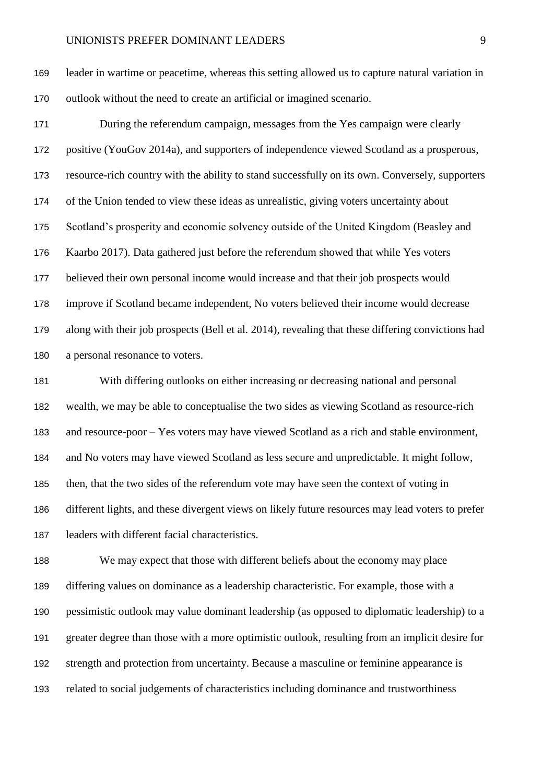leader in wartime or peacetime, whereas this setting allowed us to capture natural variation in outlook without the need to create an artificial or imagined scenario.

 During the referendum campaign, messages from the Yes campaign were clearly positive (YouGov 2014a), and supporters of independence viewed Scotland as a prosperous, resource-rich country with the ability to stand successfully on its own. Conversely, supporters of the Union tended to view these ideas as unrealistic, giving voters uncertainty about Scotland's prosperity and economic solvency outside of the United Kingdom (Beasley and Kaarbo 2017). Data gathered just before the referendum showed that while Yes voters believed their own personal income would increase and that their job prospects would improve if Scotland became independent, No voters believed their income would decrease along with their job prospects (Bell et al. 2014), revealing that these differing convictions had a personal resonance to voters.

 With differing outlooks on either increasing or decreasing national and personal wealth, we may be able to conceptualise the two sides as viewing Scotland as resource-rich and resource-poor – Yes voters may have viewed Scotland as a rich and stable environment, and No voters may have viewed Scotland as less secure and unpredictable. It might follow, then, that the two sides of the referendum vote may have seen the context of voting in different lights, and these divergent views on likely future resources may lead voters to prefer leaders with different facial characteristics.

 We may expect that those with different beliefs about the economy may place differing values on dominance as a leadership characteristic. For example, those with a pessimistic outlook may value dominant leadership (as opposed to diplomatic leadership) to a greater degree than those with a more optimistic outlook, resulting from an implicit desire for strength and protection from uncertainty. Because a masculine or feminine appearance is related to social judgements of characteristics including dominance and trustworthiness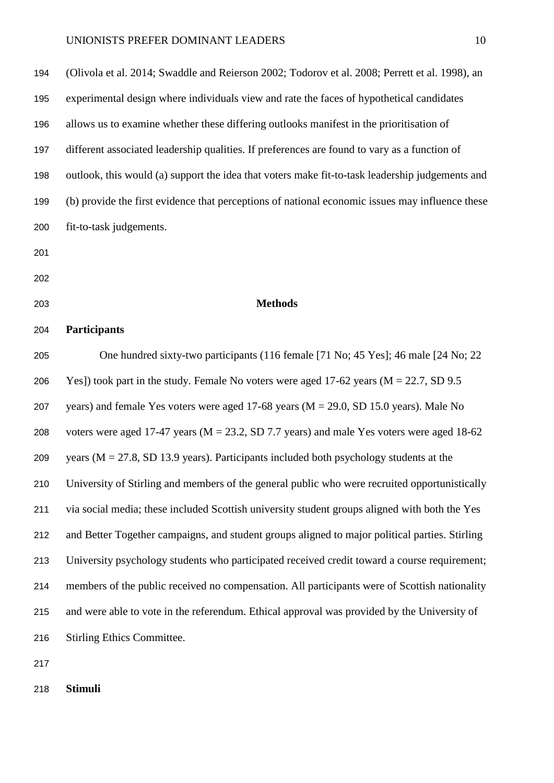| 194 | (Olivola et al. 2014; Swaddle and Reierson 2002; Todorov et al. 2008; Perrett et al. 1998), an  |
|-----|-------------------------------------------------------------------------------------------------|
| 195 | experimental design where individuals view and rate the faces of hypothetical candidates        |
| 196 | allows us to examine whether these differing outlooks manifest in the prioritisation of         |
| 197 | different associated leadership qualities. If preferences are found to vary as a function of    |
| 198 | outlook, this would (a) support the idea that voters make fit-to-task leadership judgements and |
| 199 | (b) provide the first evidence that perceptions of national economic issues may influence these |
| 200 | fit-to-task judgements.                                                                         |
| 201 |                                                                                                 |
| 202 |                                                                                                 |
| 203 | <b>Methods</b>                                                                                  |
| 204 | <b>Participants</b>                                                                             |
| 205 | One hundred sixty-two participants (116 female [71 No; 45 Yes]; 46 male [24 No; 22              |
| 206 | Yes]) took part in the study. Female No voters were aged 17-62 years ( $M = 22.7$ , SD 9.5      |
| 207 | years) and female Yes voters were aged 17-68 years ( $M = 29.0$ , SD 15.0 years). Male No       |
| 208 | voters were aged 17-47 years ( $M = 23.2$ , SD 7.7 years) and male Yes voters were aged 18-62   |
| 209 | years ( $M = 27.8$ , SD 13.9 years). Participants included both psychology students at the      |
| 210 | University of Stirling and members of the general public who were recruited opportunistically   |
| 211 | via social media; these included Scottish university student groups aligned with both the Yes   |
| 212 | and Better Together campaigns, and student groups aligned to major political parties. Stirling  |
| 213 | University psychology students who participated received credit toward a course requirement;    |
| 214 | members of the public received no compensation. All participants were of Scottish nationality   |
| 215 | and were able to vote in the referendum. Ethical approval was provided by the University of     |
| 216 | <b>Stirling Ethics Committee.</b>                                                               |
|     |                                                                                                 |

**Stimuli**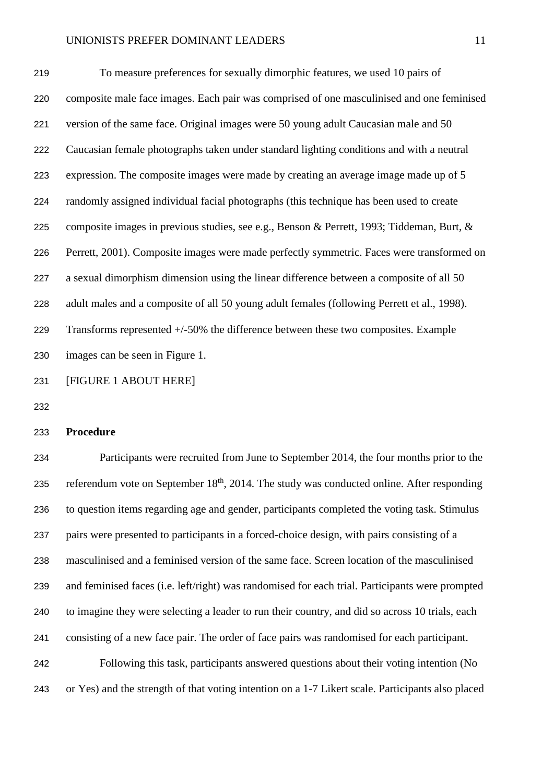To measure preferences for sexually dimorphic features, we used 10 pairs of composite male face images. Each pair was comprised of one masculinised and one feminised version of the same face. Original images were 50 young adult Caucasian male and 50 Caucasian female photographs taken under standard lighting conditions and with a neutral expression. The composite images were made by creating an average image made up of 5 randomly assigned individual facial photographs (this technique has been used to create composite images in previous studies, see e.g., Benson & Perrett, 1993; Tiddeman, Burt, & Perrett, 2001). Composite images were made perfectly symmetric. Faces were transformed on a sexual dimorphism dimension using the linear difference between a composite of all 50 adult males and a composite of all 50 young adult females (following Perrett et al., 1998). Transforms represented +/-50% the difference between these two composites. Example images can be seen in Figure 1.

[FIGURE 1 ABOUT HERE]

#### **Procedure**

 Participants were recruited from June to September 2014, the four months prior to the 235 referendum vote on September  $18<sup>th</sup>$ , 2014. The study was conducted online. After responding to question items regarding age and gender, participants completed the voting task. Stimulus pairs were presented to participants in a forced-choice design, with pairs consisting of a masculinised and a feminised version of the same face. Screen location of the masculinised and feminised faces (i.e. left/right) was randomised for each trial. Participants were prompted to imagine they were selecting a leader to run their country, and did so across 10 trials, each consisting of a new face pair. The order of face pairs was randomised for each participant. Following this task, participants answered questions about their voting intention (No or Yes) and the strength of that voting intention on a 1-7 Likert scale. Participants also placed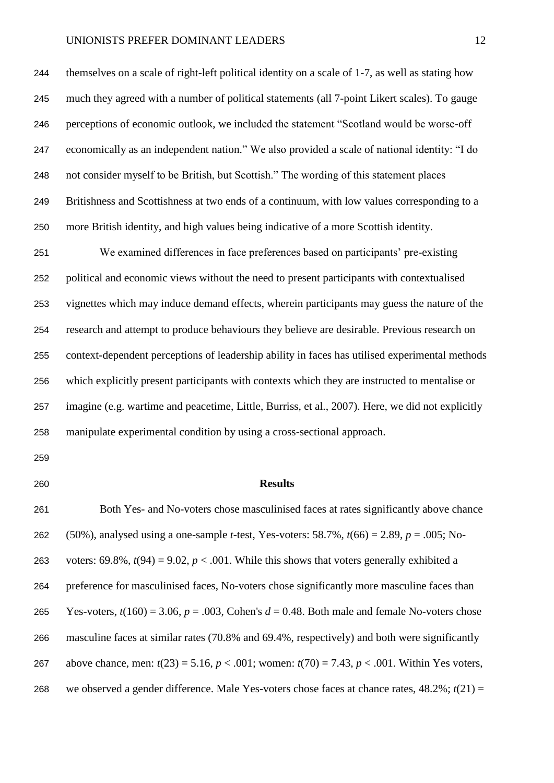themselves on a scale of right-left political identity on a scale of 1-7, as well as stating how much they agreed with a number of political statements (all 7-point Likert scales). To gauge perceptions of economic outlook, we included the statement "Scotland would be worse-off economically as an independent nation." We also provided a scale of national identity: "I do not consider myself to be British, but Scottish." The wording of this statement places Britishness and Scottishness at two ends of a continuum, with low values corresponding to a more British identity, and high values being indicative of a more Scottish identity.

 We examined differences in face preferences based on participants' pre-existing political and economic views without the need to present participants with contextualised vignettes which may induce demand effects, wherein participants may guess the nature of the research and attempt to produce behaviours they believe are desirable. Previous research on context-dependent perceptions of leadership ability in faces has utilised experimental methods which explicitly present participants with contexts which they are instructed to mentalise or imagine (e.g. wartime and peacetime, Little, Burriss, et al., 2007). Here, we did not explicitly manipulate experimental condition by using a cross-sectional approach.

#### **Results**

 Both Yes- and No-voters chose masculinised faces at rates significantly above chance (50%), analysed using a one-sample *t*-test, Yes-voters: 58.7%, *t*(66) = 2.89, *p* = .005; No-263 voters: 69.8%,  $t(94) = 9.02$ ,  $p < .001$ . While this shows that voters generally exhibited a preference for masculinised faces, No-voters chose significantly more masculine faces than 265 Yes-voters,  $t(160) = 3.06$ ,  $p = .003$ , Cohen's  $d = 0.48$ . Both male and female No-voters chose masculine faces at similar rates (70.8% and 69.4%, respectively) and both were significantly above chance, men: *t*(23) = 5.16, *p* < .001; women: *t*(70) = 7.43, *p* < .001. Within Yes voters, we observed a gender difference. Male Yes-voters chose faces at chance rates, 48.2%; *t*(21) =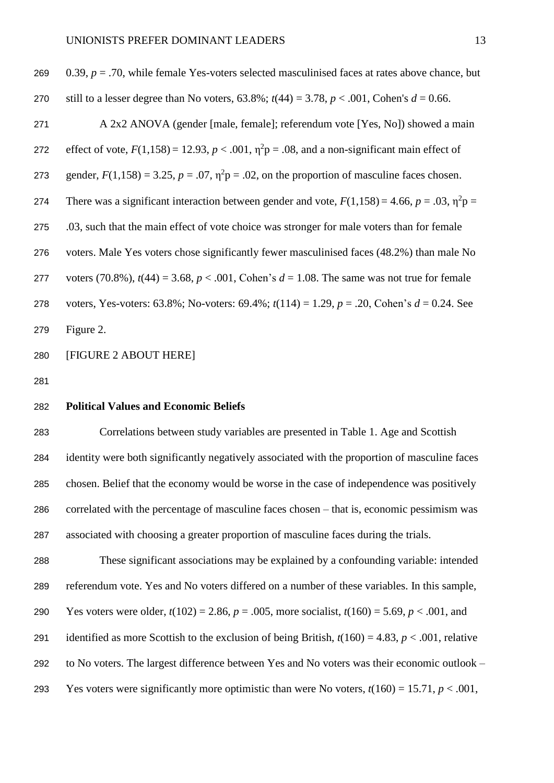| 269 | 0.39, $p = .70$ , while female Yes-voters selected masculinised faces at rates above chance, but          |
|-----|-----------------------------------------------------------------------------------------------------------|
| 270 | still to a lesser degree than No voters, 63.8%; $t(44) = 3.78$ , $p < .001$ , Cohen's $d = 0.66$ .        |
| 271 | A 2x2 ANOVA (gender [male, female]; referendum vote [Yes, No]) showed a main                              |
| 272 | effect of vote, $F(1,158) = 12.93$ , $p < .001$ , $\eta^2 p = .08$ , and a non-significant main effect of |
| 273 | gender, $F(1,158) = 3.25$ , $p = .07$ , $\eta^2 p = .02$ , on the proportion of masculine faces chosen.   |
| 274 | There was a significant interaction between gender and vote, $F(1,158) = 4.66$ , $p = .03$ , $\eta^2 p =$ |
| 275 | .03, such that the main effect of vote choice was stronger for male voters than for female                |
| 276 | voters. Male Yes voters chose significantly fewer masculinised faces (48.2%) than male No                 |
| 277 | voters (70.8%), $t(44) = 3.68$ , $p < .001$ , Cohen's $d = 1.08$ . The same was not true for female       |
| 278 | voters, Yes-voters: 63.8%; No-voters: 69.4%; $t(114) = 1.29$ , $p = .20$ , Cohen's $d = 0.24$ . See       |
| 279 | Figure 2.                                                                                                 |

[FIGURE 2 ABOUT HERE]

#### **Political Values and Economic Beliefs**

 Correlations between study variables are presented in Table 1. Age and Scottish identity were both significantly negatively associated with the proportion of masculine faces chosen. Belief that the economy would be worse in the case of independence was positively correlated with the percentage of masculine faces chosen – that is, economic pessimism was associated with choosing a greater proportion of masculine faces during the trials.

 These significant associations may be explained by a confounding variable: intended referendum vote. Yes and No voters differed on a number of these variables. In this sample, Yes voters were older, *t*(102) = 2.86, *p* = .005, more socialist, *t*(160) = 5.69, *p* < .001, and 291 identified as more Scottish to the exclusion of being British,  $t(160) = 4.83$ ,  $p < .001$ , relative to No voters. The largest difference between Yes and No voters was their economic outlook – 293 Yes voters were significantly more optimistic than were No voters,  $t(160) = 15.71$ ,  $p < .001$ ,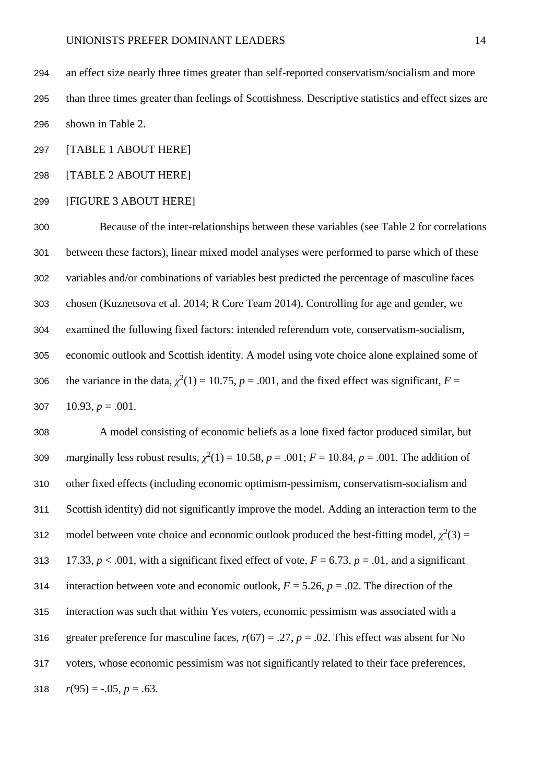an effect size nearly three times greater than self-reported conservatism/socialism and more than three times greater than feelings of Scottishness. Descriptive statistics and effect sizes are shown in Table 2.

[TABLE 1 ABOUT HERE]

[TABLE 2 ABOUT HERE]

[FIGURE 3 ABOUT HERE]

 Because of the inter-relationships between these variables (see Table 2 for correlations between these factors), linear mixed model analyses were performed to parse which of these variables and/or combinations of variables best predicted the percentage of masculine faces chosen (Kuznetsova et al. 2014; R Core Team 2014). Controlling for age and gender, we examined the following fixed factors: intended referendum vote, conservatism-socialism, economic outlook and Scottish identity. A model using vote choice alone explained some of 306 the variance in the data,  $\chi^2(1) = 10.75$ ,  $p = .001$ , and the fixed effect was significant,  $F =$  $10.93, p = .001$ .

 A model consisting of economic beliefs as a lone fixed factor produced similar, but 309 marginally less robust results,  $\chi^2(1) = 10.58$ ,  $p = .001$ ;  $F = 10.84$ ,  $p = .001$ . The addition of other fixed effects (including economic optimism-pessimism, conservatism-socialism and Scottish identity) did not significantly improve the model. Adding an interaction term to the 312 model between vote choice and economic outlook produced the best-fitting model,  $\chi^2(3)$  = 313 17.33,  $p < .001$ , with a significant fixed effect of vote,  $F = 6.73$ ,  $p = .01$ , and a significant 314 interaction between vote and economic outlook,  $F = 5.26$ ,  $p = .02$ . The direction of the interaction was such that within Yes voters, economic pessimism was associated with a 316 greater preference for masculine faces,  $r(67) = .27$ ,  $p = .02$ . This effect was absent for No voters, whose economic pessimism was not significantly related to their face preferences, 318  $r(95) = -.05, p = .63.$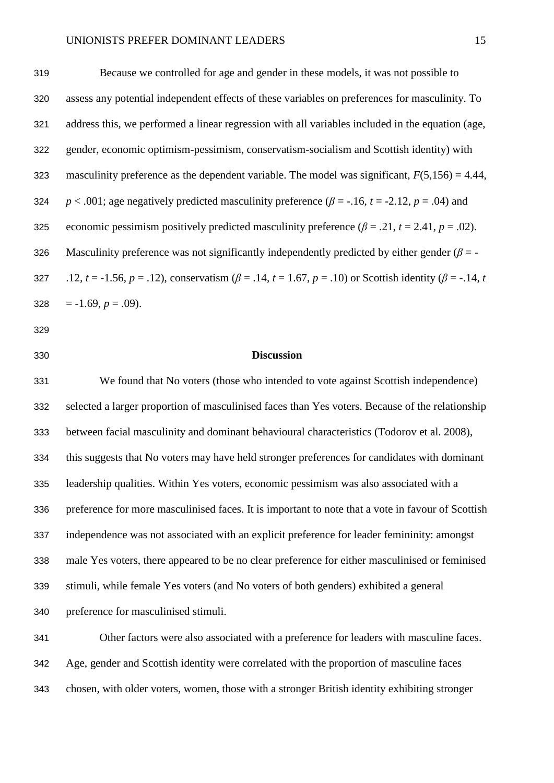Because we controlled for age and gender in these models, it was not possible to assess any potential independent effects of these variables on preferences for masculinity. To address this, we performed a linear regression with all variables included in the equation (age, gender, economic optimism-pessimism, conservatism-socialism and Scottish identity) with 323 masculinity preference as the dependent variable. The model was significant,  $F(5,156) = 4.44$ , *p* < .001; age negatively predicted masculinity preference  $(\beta = -16, t = -2.12, p = .04)$  and 325 economic pessimism positively predicted masculinity preference  $(\beta = .21, t = 2.41, p = .02)$ . Masculinity preference was not significantly independently predicted by either gender (*β* = - 327 .12,  $t = -1.56$ ,  $p = .12$ ), conservatism ( $\beta = .14$ ,  $t = 1.67$ ,  $p = .10$ ) or Scottish identity ( $\beta = -.14$ ,  $t = 1.4$  $= -1.69, p = .09$ ).

- 
- 

#### **Discussion**

 We found that No voters (those who intended to vote against Scottish independence) selected a larger proportion of masculinised faces than Yes voters. Because of the relationship between facial masculinity and dominant behavioural characteristics (Todorov et al. 2008), this suggests that No voters may have held stronger preferences for candidates with dominant leadership qualities. Within Yes voters, economic pessimism was also associated with a preference for more masculinised faces. It is important to note that a vote in favour of Scottish independence was not associated with an explicit preference for leader femininity: amongst male Yes voters, there appeared to be no clear preference for either masculinised or feminised stimuli, while female Yes voters (and No voters of both genders) exhibited a general preference for masculinised stimuli.

 Other factors were also associated with a preference for leaders with masculine faces. Age, gender and Scottish identity were correlated with the proportion of masculine faces chosen, with older voters, women, those with a stronger British identity exhibiting stronger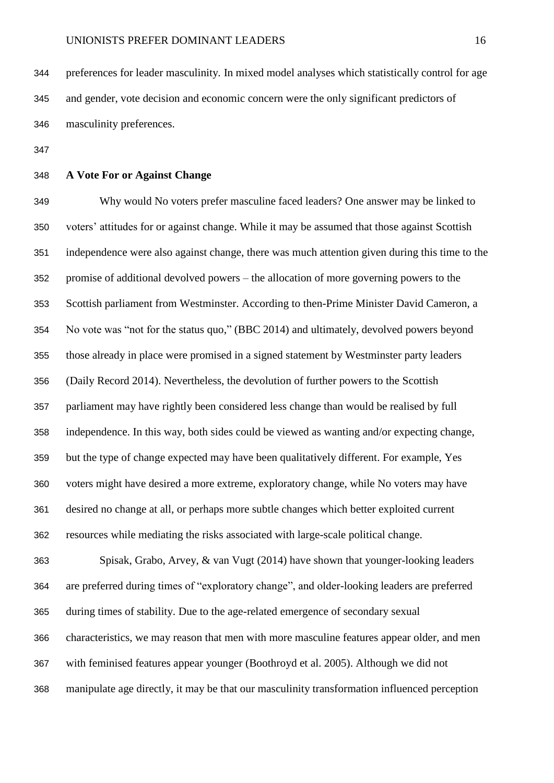preferences for leader masculinity. In mixed model analyses which statistically control for age and gender, vote decision and economic concern were the only significant predictors of masculinity preferences.

### **A Vote For or Against Change**

 Why would No voters prefer masculine faced leaders? One answer may be linked to voters' attitudes for or against change. While it may be assumed that those against Scottish independence were also against change, there was much attention given during this time to the promise of additional devolved powers – the allocation of more governing powers to the Scottish parliament from Westminster. According to then-Prime Minister David Cameron, a No vote was "not for the status quo," (BBC 2014) and ultimately, devolved powers beyond those already in place were promised in a signed statement by Westminster party leaders (Daily Record 2014). Nevertheless, the devolution of further powers to the Scottish parliament may have rightly been considered less change than would be realised by full independence. In this way, both sides could be viewed as wanting and/or expecting change, but the type of change expected may have been qualitatively different. For example, Yes voters might have desired a more extreme, exploratory change, while No voters may have desired no change at all, or perhaps more subtle changes which better exploited current resources while mediating the risks associated with large-scale political change.

 Spisak, Grabo, Arvey, & van Vugt (2014) have shown that younger-looking leaders are preferred during times of "exploratory change", and older-looking leaders are preferred during times of stability. Due to the age-related emergence of secondary sexual characteristics, we may reason that men with more masculine features appear older, and men with feminised features appear younger (Boothroyd et al. 2005). Although we did not manipulate age directly, it may be that our masculinity transformation influenced perception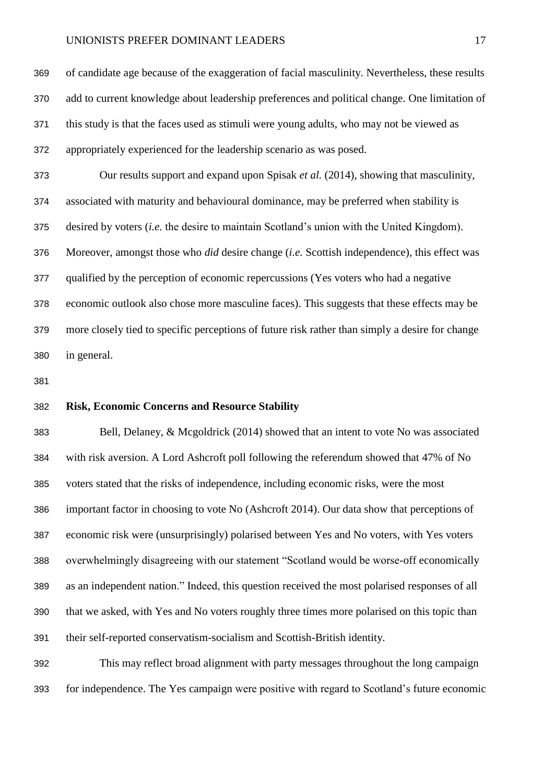of candidate age because of the exaggeration of facial masculinity. Nevertheless, these results add to current knowledge about leadership preferences and political change. One limitation of this study is that the faces used as stimuli were young adults, who may not be viewed as appropriately experienced for the leadership scenario as was posed. Our results support and expand upon Spisak *et al.* (2014), showing that masculinity, associated with maturity and behavioural dominance, may be preferred when stability is desired by voters (*i.e.* the desire to maintain Scotland's union with the United Kingdom). Moreover, amongst those who *did* desire change (*i.e.* Scottish independence), this effect was qualified by the perception of economic repercussions (Yes voters who had a negative economic outlook also chose more masculine faces). This suggests that these effects may be more closely tied to specific perceptions of future risk rather than simply a desire for change in general.

#### **Risk, Economic Concerns and Resource Stability**

 Bell, Delaney, & Mcgoldrick (2014) showed that an intent to vote No was associated with risk aversion. A Lord Ashcroft poll following the referendum showed that 47% of No voters stated that the risks of independence, including economic risks, were the most important factor in choosing to vote No (Ashcroft 2014). Our data show that perceptions of economic risk were (unsurprisingly) polarised between Yes and No voters, with Yes voters overwhelmingly disagreeing with our statement "Scotland would be worse-off economically as an independent nation." Indeed, this question received the most polarised responses of all that we asked, with Yes and No voters roughly three times more polarised on this topic than their self-reported conservatism-socialism and Scottish-British identity.

 This may reflect broad alignment with party messages throughout the long campaign for independence. The Yes campaign were positive with regard to Scotland's future economic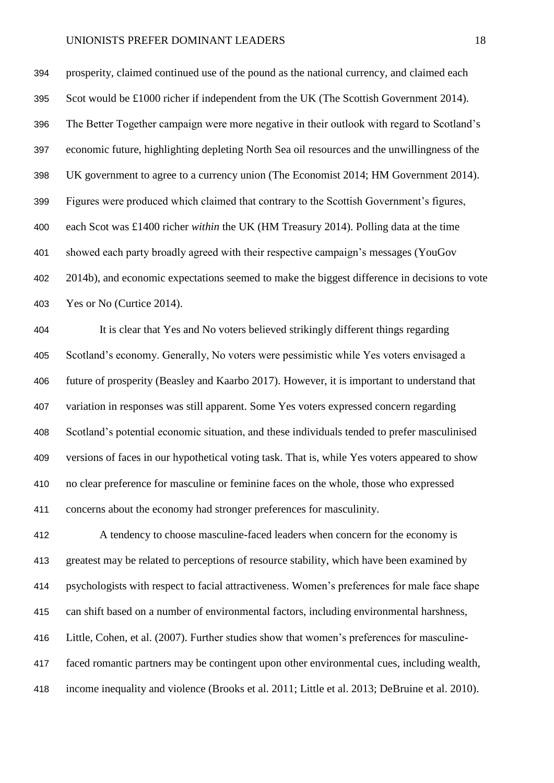prosperity, claimed continued use of the pound as the national currency, and claimed each Scot would be £1000 richer if independent from the UK (The Scottish Government 2014). The Better Together campaign were more negative in their outlook with regard to Scotland's economic future, highlighting depleting North Sea oil resources and the unwillingness of the UK government to agree to a currency union (The Economist 2014; HM Government 2014). Figures were produced which claimed that contrary to the Scottish Government's figures, each Scot was £1400 richer *within* the UK (HM Treasury 2014). Polling data at the time showed each party broadly agreed with their respective campaign's messages (YouGov 2014b), and economic expectations seemed to make the biggest difference in decisions to vote Yes or No (Curtice 2014).

 It is clear that Yes and No voters believed strikingly different things regarding Scotland's economy. Generally, No voters were pessimistic while Yes voters envisaged a future of prosperity (Beasley and Kaarbo 2017). However, it is important to understand that variation in responses was still apparent. Some Yes voters expressed concern regarding Scotland's potential economic situation, and these individuals tended to prefer masculinised versions of faces in our hypothetical voting task. That is, while Yes voters appeared to show no clear preference for masculine or feminine faces on the whole, those who expressed concerns about the economy had stronger preferences for masculinity.

 A tendency to choose masculine-faced leaders when concern for the economy is greatest may be related to perceptions of resource stability, which have been examined by psychologists with respect to facial attractiveness. Women's preferences for male face shape can shift based on a number of environmental factors, including environmental harshness, Little, Cohen, et al. (2007). Further studies show that women's preferences for masculine- faced romantic partners may be contingent upon other environmental cues, including wealth, income inequality and violence (Brooks et al. 2011; Little et al. 2013; DeBruine et al. 2010).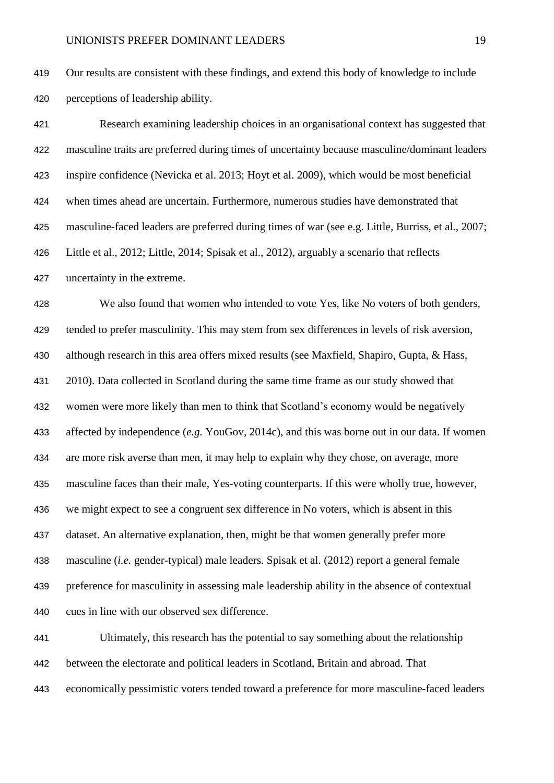Our results are consistent with these findings, and extend this body of knowledge to include perceptions of leadership ability.

 Research examining leadership choices in an organisational context has suggested that masculine traits are preferred during times of uncertainty because masculine/dominant leaders inspire confidence (Nevicka et al. 2013; Hoyt et al. 2009), which would be most beneficial when times ahead are uncertain. Furthermore, numerous studies have demonstrated that masculine-faced leaders are preferred during times of war (see e.g. Little, Burriss, et al., 2007; Little et al., 2012; Little, 2014; Spisak et al., 2012), arguably a scenario that reflects uncertainty in the extreme.

 We also found that women who intended to vote Yes, like No voters of both genders, tended to prefer masculinity. This may stem from sex differences in levels of risk aversion, although research in this area offers mixed results (see Maxfield, Shapiro, Gupta, & Hass, 2010). Data collected in Scotland during the same time frame as our study showed that women were more likely than men to think that Scotland's economy would be negatively affected by independence (*e.g.* YouGov, 2014c), and this was borne out in our data. If women are more risk averse than men, it may help to explain why they chose, on average, more masculine faces than their male, Yes-voting counterparts. If this were wholly true, however, we might expect to see a congruent sex difference in No voters, which is absent in this dataset. An alternative explanation, then, might be that women generally prefer more masculine (*i.e.* gender-typical) male leaders. Spisak et al. (2012) report a general female preference for masculinity in assessing male leadership ability in the absence of contextual cues in line with our observed sex difference.

 Ultimately, this research has the potential to say something about the relationship between the electorate and political leaders in Scotland, Britain and abroad. That economically pessimistic voters tended toward a preference for more masculine-faced leaders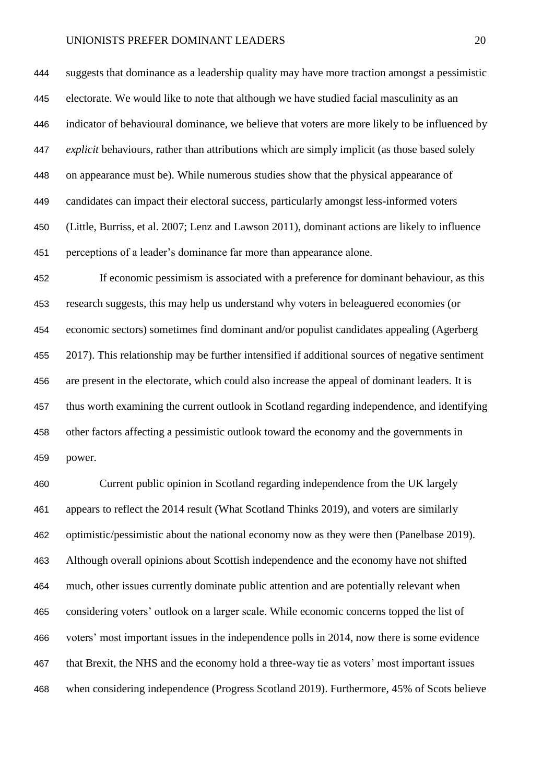suggests that dominance as a leadership quality may have more traction amongst a pessimistic electorate. We would like to note that although we have studied facial masculinity as an indicator of behavioural dominance, we believe that voters are more likely to be influenced by *explicit* behaviours, rather than attributions which are simply implicit (as those based solely on appearance must be). While numerous studies show that the physical appearance of candidates can impact their electoral success, particularly amongst less-informed voters (Little, Burriss, et al. 2007; Lenz and Lawson 2011), dominant actions are likely to influence perceptions of a leader's dominance far more than appearance alone.

 If economic pessimism is associated with a preference for dominant behaviour, as this research suggests, this may help us understand why voters in beleaguered economies (or economic sectors) sometimes find dominant and/or populist candidates appealing (Agerberg 2017). This relationship may be further intensified if additional sources of negative sentiment are present in the electorate, which could also increase the appeal of dominant leaders. It is thus worth examining the current outlook in Scotland regarding independence, and identifying other factors affecting a pessimistic outlook toward the economy and the governments in power.

 Current public opinion in Scotland regarding independence from the UK largely appears to reflect the 2014 result (What Scotland Thinks 2019), and voters are similarly optimistic/pessimistic about the national economy now as they were then (Panelbase 2019). Although overall opinions about Scottish independence and the economy have not shifted much, other issues currently dominate public attention and are potentially relevant when considering voters' outlook on a larger scale. While economic concerns topped the list of voters' most important issues in the independence polls in 2014, now there is some evidence that Brexit, the NHS and the economy hold a three-way tie as voters' most important issues when considering independence (Progress Scotland 2019). Furthermore, 45% of Scots believe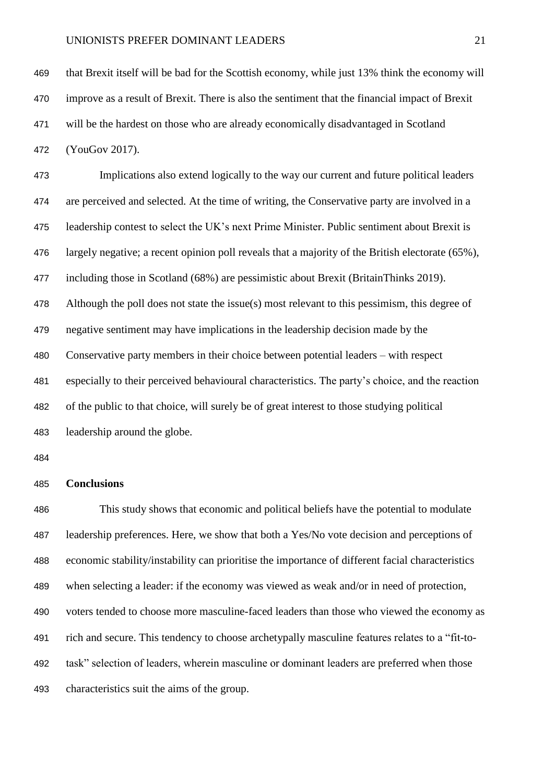that Brexit itself will be bad for the Scottish economy, while just 13% think the economy will improve as a result of Brexit. There is also the sentiment that the financial impact of Brexit will be the hardest on those who are already economically disadvantaged in Scotland

(YouGov 2017).

 Implications also extend logically to the way our current and future political leaders are perceived and selected. At the time of writing, the Conservative party are involved in a leadership contest to select the UK's next Prime Minister. Public sentiment about Brexit is largely negative; a recent opinion poll reveals that a majority of the British electorate (65%), including those in Scotland (68%) are pessimistic about Brexit (BritainThinks 2019). Although the poll does not state the issue(s) most relevant to this pessimism, this degree of negative sentiment may have implications in the leadership decision made by the Conservative party members in their choice between potential leaders – with respect especially to their perceived behavioural characteristics. The party's choice, and the reaction of the public to that choice, will surely be of great interest to those studying political leadership around the globe.

#### **Conclusions**

 This study shows that economic and political beliefs have the potential to modulate leadership preferences. Here, we show that both a Yes/No vote decision and perceptions of economic stability/instability can prioritise the importance of different facial characteristics when selecting a leader: if the economy was viewed as weak and/or in need of protection, voters tended to choose more masculine-faced leaders than those who viewed the economy as rich and secure. This tendency to choose archetypally masculine features relates to a "fit-to- task" selection of leaders, wherein masculine or dominant leaders are preferred when those characteristics suit the aims of the group.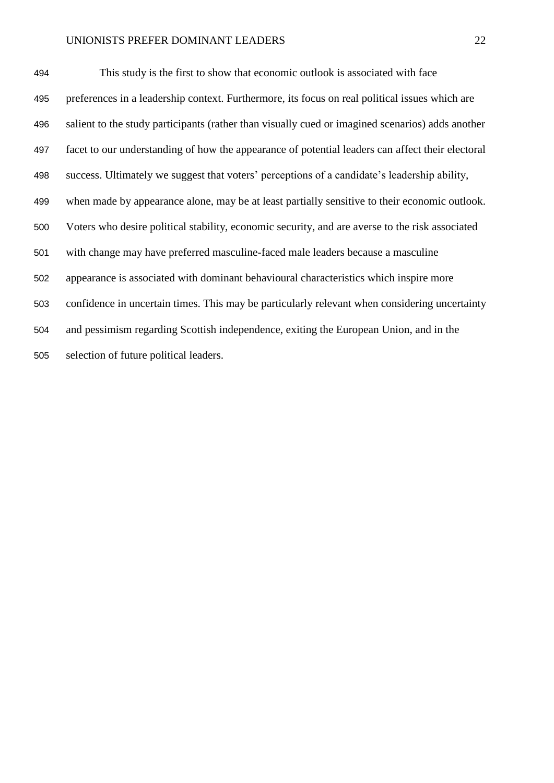This study is the first to show that economic outlook is associated with face preferences in a leadership context. Furthermore, its focus on real political issues which are salient to the study participants (rather than visually cued or imagined scenarios) adds another facet to our understanding of how the appearance of potential leaders can affect their electoral success. Ultimately we suggest that voters' perceptions of a candidate's leadership ability, when made by appearance alone, may be at least partially sensitive to their economic outlook. Voters who desire political stability, economic security, and are averse to the risk associated with change may have preferred masculine-faced male leaders because a masculine appearance is associated with dominant behavioural characteristics which inspire more confidence in uncertain times. This may be particularly relevant when considering uncertainty and pessimism regarding Scottish independence, exiting the European Union, and in the selection of future political leaders.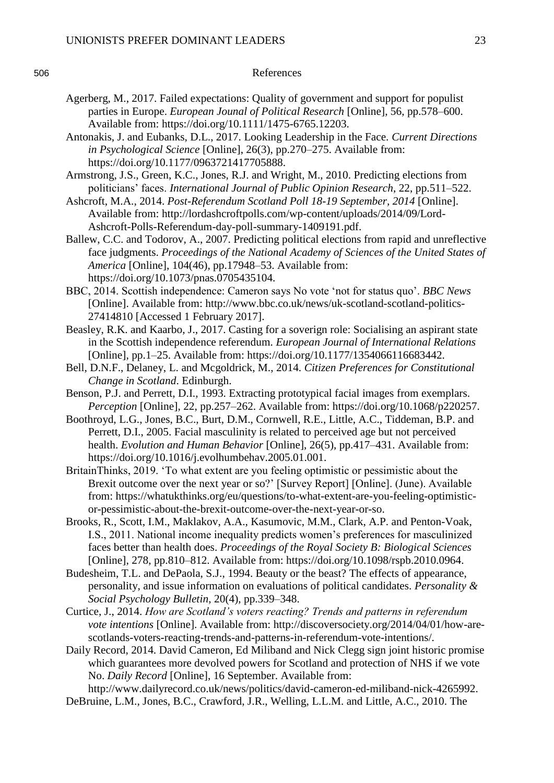#### 506 References

- Agerberg, M., 2017. Failed expectations: Quality of government and support for populist parties in Europe. *European Jounal of Political Research* [Online], 56, pp.578–600. Available from: https://doi.org/10.1111/1475-6765.12203.
- Antonakis, J. and Eubanks, D.L., 2017. Looking Leadership in the Face. *Current Directions in Psychological Science* [Online], 26(3), pp.270–275. Available from: https://doi.org/10.1177/0963721417705888.
- Armstrong, J.S., Green, K.C., Jones, R.J. and Wright, M., 2010. Predicting elections from politicians' faces. *International Journal of Public Opinion Research*, 22, pp.511–522.
- Ashcroft, M.A., 2014. *Post-Referendum Scotland Poll 18-19 September, 2014* [Online]. Available from: http://lordashcroftpolls.com/wp-content/uploads/2014/09/Lord-Ashcroft-Polls-Referendum-day-poll-summary-1409191.pdf.
- Ballew, C.C. and Todorov, A., 2007. Predicting political elections from rapid and unreflective face judgments. *Proceedings of the National Academy of Sciences of the United States of America* [Online], 104(46), pp.17948–53. Available from: https://doi.org/10.1073/pnas.0705435104.
- BBC, 2014. Scottish independence: Cameron says No vote 'not for status quo'. *BBC News* [Online]. Available from: http://www.bbc.co.uk/news/uk-scotland-scotland-politics-27414810 [Accessed 1 February 2017].
- Beasley, R.K. and Kaarbo, J., 2017. Casting for a soverign role: Socialising an aspirant state in the Scottish independence referendum. *European Journal of International Relations* [Online], pp.1–25. Available from: https://doi.org/10.1177/1354066116683442.
- Bell, D.N.F., Delaney, L. and Mcgoldrick, M., 2014. *Citizen Preferences for Constitutional Change in Scotland*. Edinburgh.
- Benson, P.J. and Perrett, D.I., 1993. Extracting prototypical facial images from exemplars. *Perception* [Online], 22, pp.257–262. Available from: https://doi.org/10.1068/p220257.
- Boothroyd, L.G., Jones, B.C., Burt, D.M., Cornwell, R.E., Little, A.C., Tiddeman, B.P. and Perrett, D.I., 2005. Facial masculinity is related to perceived age but not perceived health. *Evolution and Human Behavior* [Online], 26(5), pp.417–431. Available from: https://doi.org/10.1016/j.evolhumbehav.2005.01.001.
- BritainThinks, 2019. 'To what extent are you feeling optimistic or pessimistic about the Brexit outcome over the next year or so?' [Survey Report] [Online]. (June). Available from: https://whatukthinks.org/eu/questions/to-what-extent-are-you-feeling-optimisticor-pessimistic-about-the-brexit-outcome-over-the-next-year-or-so.
- Brooks, R., Scott, I.M., Maklakov, A.A., Kasumovic, M.M., Clark, A.P. and Penton-Voak, I.S., 2011. National income inequality predicts women's preferences for masculinized faces better than health does. *Proceedings of the Royal Society B: Biological Sciences* [Online], 278, pp.810–812. Available from: https://doi.org/10.1098/rspb.2010.0964.
- Budesheim, T.L. and DePaola, S.J., 1994. Beauty or the beast? The effects of appearance, personality, and issue information on evaluations of political candidates. *Personality & Social Psychology Bulletin*, 20(4), pp.339–348.
- Curtice, J., 2014. *How are Scotland's voters reacting? Trends and patterns in referendum vote intentions* [Online]. Available from: http://discoversociety.org/2014/04/01/how-arescotlands-voters-reacting-trends-and-patterns-in-referendum-vote-intentions/.
- Daily Record, 2014. David Cameron, Ed Miliband and Nick Clegg sign joint historic promise which guarantees more devolved powers for Scotland and protection of NHS if we vote No. *Daily Record* [Online], 16 September. Available from:
- http://www.dailyrecord.co.uk/news/politics/david-cameron-ed-miliband-nick-4265992. DeBruine, L.M., Jones, B.C., Crawford, J.R., Welling, L.L.M. and Little, A.C., 2010. The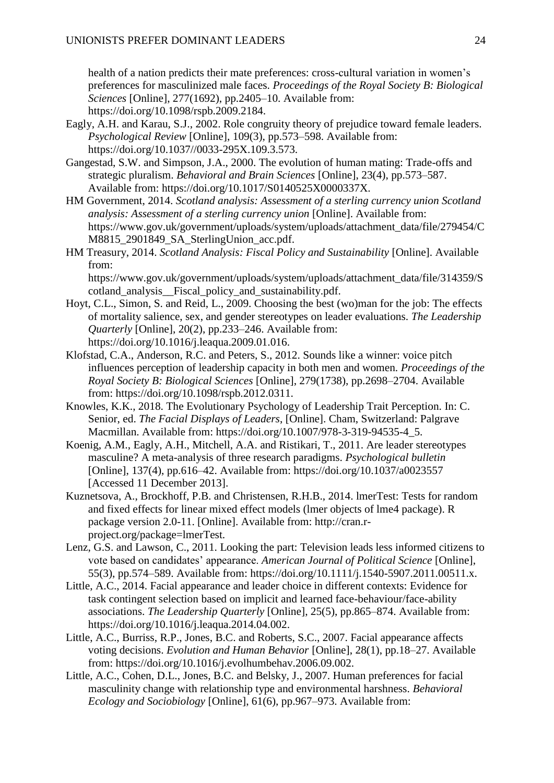health of a nation predicts their mate preferences: cross-cultural variation in women's preferences for masculinized male faces. *Proceedings of the Royal Society B: Biological Sciences* [Online], 277(1692), pp.2405–10. Available from: https://doi.org/10.1098/rspb.2009.2184.

- Eagly, A.H. and Karau, S.J., 2002. Role congruity theory of prejudice toward female leaders. *Psychological Review* [Online], 109(3), pp.573–598. Available from: https://doi.org/10.1037//0033-295X.109.3.573.
- Gangestad, S.W. and Simpson, J.A., 2000. The evolution of human mating: Trade-offs and strategic pluralism. *Behavioral and Brain Sciences* [Online], 23(4), pp.573–587. Available from: https://doi.org/10.1017/S0140525X0000337X.
- HM Government, 2014. *Scotland analysis: Assessment of a sterling currency union Scotland analysis: Assessment of a sterling currency union* [Online]. Available from: https://www.gov.uk/government/uploads/system/uploads/attachment\_data/file/279454/C M8815\_2901849\_SA\_SterlingUnion\_acc.pdf.
- HM Treasury, 2014. *Scotland Analysis: Fiscal Policy and Sustainability* [Online]. Available from: https://www.gov.uk/government/uploads/system/uploads/attachment\_data/file/314359/S

cotland\_analysis\_\_Fiscal\_policy\_and\_sustainability.pdf.

- Hoyt, C.L., Simon, S. and Reid, L., 2009. Choosing the best (wo)man for the job: The effects of mortality salience, sex, and gender stereotypes on leader evaluations. *The Leadership Quarterly* [Online], 20(2), pp.233–246. Available from: https://doi.org/10.1016/j.leaqua.2009.01.016.
- Klofstad, C.A., Anderson, R.C. and Peters, S., 2012. Sounds like a winner: voice pitch influences perception of leadership capacity in both men and women. *Proceedings of the Royal Society B: Biological Sciences* [Online], 279(1738), pp.2698–2704. Available from: https://doi.org/10.1098/rspb.2012.0311.
- Knowles, K.K., 2018. The Evolutionary Psychology of Leadership Trait Perception. In: C. Senior, ed. *The Facial Displays of Leaders*, [Online]. Cham, Switzerland: Palgrave Macmillan. Available from: https://doi.org/10.1007/978-3-319-94535-4\_5.
- Koenig, A.M., Eagly, A.H., Mitchell, A.A. and Ristikari, T., 2011. Are leader stereotypes masculine? A meta-analysis of three research paradigms. *Psychological bulletin* [Online], 137(4), pp.616–42. Available from: https://doi.org/10.1037/a0023557 [Accessed 11 December 2013].
- Kuznetsova, A., Brockhoff, P.B. and Christensen, R.H.B., 2014. lmerTest: Tests for random and fixed effects for linear mixed effect models (lmer objects of lme4 package). R package version 2.0-11. [Online]. Available from: http://cran.rproject.org/package=lmerTest.
- Lenz, G.S. and Lawson, C., 2011. Looking the part: Television leads less informed citizens to vote based on candidates' appearance. *American Journal of Political Science* [Online], 55(3), pp.574–589. Available from: https://doi.org/10.1111/j.1540-5907.2011.00511.x.
- Little, A.C., 2014. Facial appearance and leader choice in different contexts: Evidence for task contingent selection based on implicit and learned face-behaviour/face-ability associations. *The Leadership Quarterly* [Online], 25(5), pp.865–874. Available from: https://doi.org/10.1016/j.leaqua.2014.04.002.
- Little, A.C., Burriss, R.P., Jones, B.C. and Roberts, S.C., 2007. Facial appearance affects voting decisions. *Evolution and Human Behavior* [Online], 28(1), pp.18–27. Available from: https://doi.org/10.1016/j.evolhumbehav.2006.09.002.
- Little, A.C., Cohen, D.L., Jones, B.C. and Belsky, J., 2007. Human preferences for facial masculinity change with relationship type and environmental harshness. *Behavioral Ecology and Sociobiology* [Online], 61(6), pp.967–973. Available from: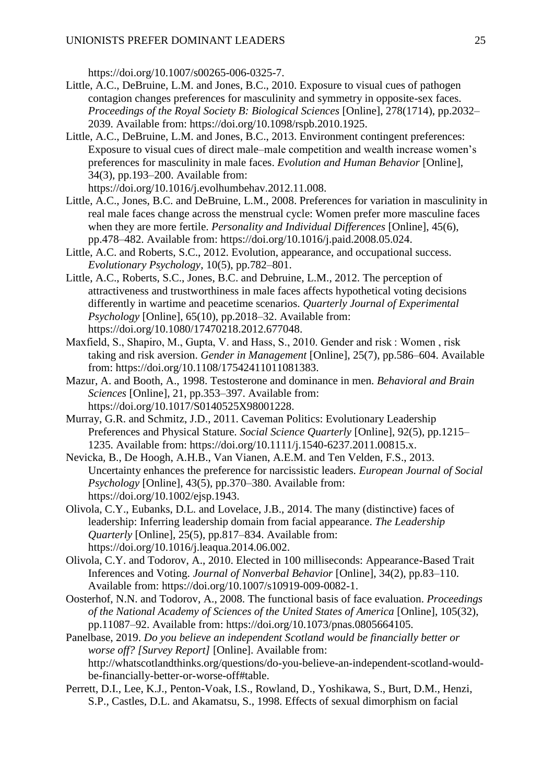https://doi.org/10.1007/s00265-006-0325-7.

- Little, A.C., DeBruine, L.M. and Jones, B.C., 2010. Exposure to visual cues of pathogen contagion changes preferences for masculinity and symmetry in opposite-sex faces. *Proceedings of the Royal Society B: Biological Sciences* [Online], 278(1714), pp.2032– 2039. Available from: https://doi.org/10.1098/rspb.2010.1925.
- Little, A.C., DeBruine, L.M. and Jones, B.C., 2013. Environment contingent preferences: Exposure to visual cues of direct male–male competition and wealth increase women's preferences for masculinity in male faces. *Evolution and Human Behavior* [Online], 34(3), pp.193–200. Available from:

https://doi.org/10.1016/j.evolhumbehav.2012.11.008.

- Little, A.C., Jones, B.C. and DeBruine, L.M., 2008. Preferences for variation in masculinity in real male faces change across the menstrual cycle: Women prefer more masculine faces when they are more fertile. *Personality and Individual Differences* [Online], 45(6), pp.478–482. Available from: https://doi.org/10.1016/j.paid.2008.05.024.
- Little, A.C. and Roberts, S.C., 2012. Evolution, appearance, and occupational success. *Evolutionary Psychology*, 10(5), pp.782–801.
- Little, A.C., Roberts, S.C., Jones, B.C. and Debruine, L.M., 2012. The perception of attractiveness and trustworthiness in male faces affects hypothetical voting decisions differently in wartime and peacetime scenarios. *Quarterly Journal of Experimental Psychology* [Online], 65(10), pp.2018–32. Available from: https://doi.org/10.1080/17470218.2012.677048.
- Maxfield, S., Shapiro, M., Gupta, V. and Hass, S., 2010. Gender and risk : Women , risk taking and risk aversion. *Gender in Management* [Online], 25(7), pp.586–604. Available from: https://doi.org/10.1108/17542411011081383.
- Mazur, A. and Booth, A., 1998. Testosterone and dominance in men. *Behavioral and Brain Sciences* [Online], 21, pp.353–397. Available from: https://doi.org/10.1017/S0140525X98001228.
- Murray, G.R. and Schmitz, J.D., 2011. Caveman Politics: Evolutionary Leadership Preferences and Physical Stature. *Social Science Quarterly* [Online], 92(5), pp.1215– 1235. Available from: https://doi.org/10.1111/j.1540-6237.2011.00815.x.
- Nevicka, B., De Hoogh, A.H.B., Van Vianen, A.E.M. and Ten Velden, F.S., 2013. Uncertainty enhances the preference for narcissistic leaders. *European Journal of Social Psychology* [Online], 43(5), pp.370–380. Available from: https://doi.org/10.1002/ejsp.1943.
- Olivola, C.Y., Eubanks, D.L. and Lovelace, J.B., 2014. The many (distinctive) faces of leadership: Inferring leadership domain from facial appearance. *The Leadership Quarterly* [Online], 25(5), pp.817–834. Available from: https://doi.org/10.1016/j.leaqua.2014.06.002.
- Olivola, C.Y. and Todorov, A., 2010. Elected in 100 milliseconds: Appearance-Based Trait Inferences and Voting. *Journal of Nonverbal Behavior* [Online], 34(2), pp.83–110. Available from: https://doi.org/10.1007/s10919-009-0082-1.
- Oosterhof, N.N. and Todorov, A., 2008. The functional basis of face evaluation. *Proceedings of the National Academy of Sciences of the United States of America* [Online], 105(32), pp.11087–92. Available from: https://doi.org/10.1073/pnas.0805664105.
- Panelbase, 2019. *Do you believe an independent Scotland would be financially better or worse off? [Survey Report]* [Online]. Available from: http://whatscotlandthinks.org/questions/do-you-believe-an-independent-scotland-wouldbe-financially-better-or-worse-off#table.
- Perrett, D.I., Lee, K.J., Penton-Voak, I.S., Rowland, D., Yoshikawa, S., Burt, D.M., Henzi, S.P., Castles, D.L. and Akamatsu, S., 1998. Effects of sexual dimorphism on facial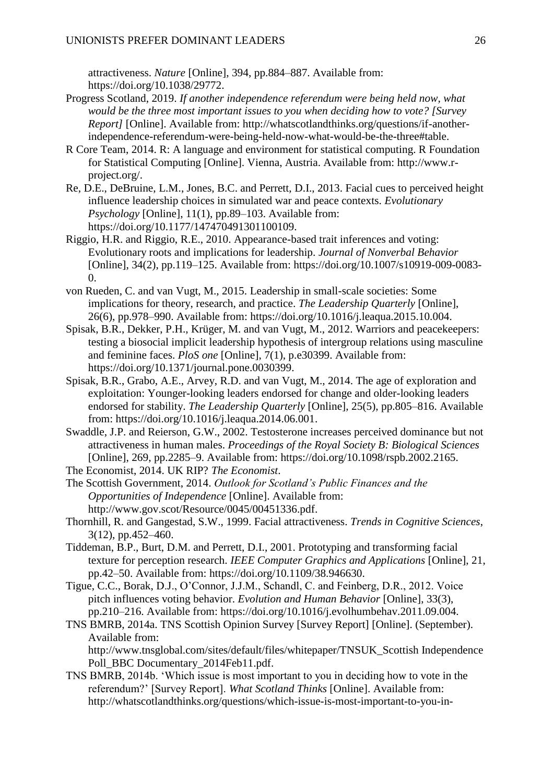attractiveness. *Nature* [Online], 394, pp.884–887. Available from: https://doi.org/10.1038/29772.

- Progress Scotland, 2019. *If another independence referendum were being held now, what would be the three most important issues to you when deciding how to vote? [Survey Report]* [Online]. Available from: http://whatscotlandthinks.org/questions/if-anotherindependence-referendum-were-being-held-now-what-would-be-the-three#table.
- R Core Team, 2014. R: A language and environment for statistical computing. R Foundation for Statistical Computing [Online]. Vienna, Austria. Available from: http://www.rproject.org/.
- Re, D.E., DeBruine, L.M., Jones, B.C. and Perrett, D.I., 2013. Facial cues to perceived height influence leadership choices in simulated war and peace contexts. *Evolutionary Psychology* [Online], 11(1), pp.89–103. Available from: https://doi.org/10.1177/147470491301100109.
- Riggio, H.R. and Riggio, R.E., 2010. Appearance-based trait inferences and voting: Evolutionary roots and implications for leadership. *Journal of Nonverbal Behavior* [Online], 34(2), pp.119–125. Available from: https://doi.org/10.1007/s10919-009-0083- 0.
- von Rueden, C. and van Vugt, M., 2015. Leadership in small-scale societies: Some implications for theory, research, and practice. *The Leadership Quarterly* [Online], 26(6), pp.978–990. Available from: https://doi.org/10.1016/j.leaqua.2015.10.004.
- Spisak, B.R., Dekker, P.H., Krüger, M. and van Vugt, M., 2012. Warriors and peacekeepers: testing a biosocial implicit leadership hypothesis of intergroup relations using masculine and feminine faces. *PloS one* [Online], 7(1), p.e30399. Available from: https://doi.org/10.1371/journal.pone.0030399.
- Spisak, B.R., Grabo, A.E., Arvey, R.D. and van Vugt, M., 2014. The age of exploration and exploitation: Younger-looking leaders endorsed for change and older-looking leaders endorsed for stability. *The Leadership Quarterly* [Online], 25(5), pp.805–816. Available from: https://doi.org/10.1016/j.leaqua.2014.06.001.
- Swaddle, J.P. and Reierson, G.W., 2002. Testosterone increases perceived dominance but not attractiveness in human males. *Proceedings of the Royal Society B: Biological Sciences* [Online], 269, pp.2285–9. Available from: https://doi.org/10.1098/rspb.2002.2165.
- The Economist, 2014. UK RIP? *The Economist*.
- The Scottish Government, 2014. *Outlook for Scotland's Public Finances and the Opportunities of Independence* [Online]. Available from: http://www.gov.scot/Resource/0045/00451336.pdf.
- Thornhill, R. and Gangestad, S.W., 1999. Facial attractiveness. *Trends in Cognitive Sciences*, 3(12), pp.452–460.
- Tiddeman, B.P., Burt, D.M. and Perrett, D.I., 2001. Prototyping and transforming facial texture for perception research. *IEEE Computer Graphics and Applications* [Online], 21, pp.42–50. Available from: https://doi.org/10.1109/38.946630.
- Tigue, C.C., Borak, D.J., O'Connor, J.J.M., Schandl, C. and Feinberg, D.R., 2012. Voice pitch influences voting behavior. *Evolution and Human Behavior* [Online], 33(3), pp.210–216. Available from: https://doi.org/10.1016/j.evolhumbehav.2011.09.004.
- TNS BMRB, 2014a. TNS Scottish Opinion Survey [Survey Report] [Online]. (September). Available from:

http://www.tnsglobal.com/sites/default/files/whitepaper/TNSUK\_Scottish Independence Poll\_BBC Documentary\_2014Feb11.pdf.

TNS BMRB, 2014b. 'Which issue is most important to you in deciding how to vote in the referendum?' [Survey Report]. *What Scotland Thinks* [Online]. Available from: http://whatscotlandthinks.org/questions/which-issue-is-most-important-to-you-in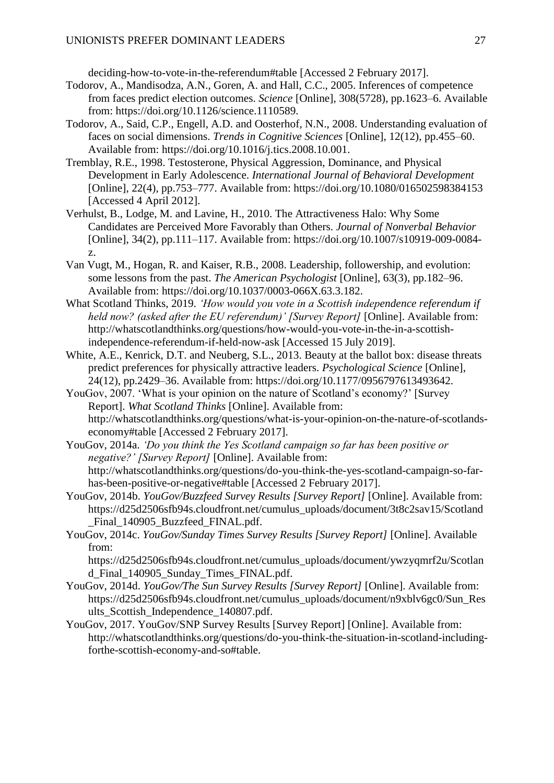deciding-how-to-vote-in-the-referendum#table [Accessed 2 February 2017].

- Todorov, A., Mandisodza, A.N., Goren, A. and Hall, C.C., 2005. Inferences of competence from faces predict election outcomes. *Science* [Online], 308(5728), pp.1623–6. Available from: https://doi.org/10.1126/science.1110589.
- Todorov, A., Said, C.P., Engell, A.D. and Oosterhof, N.N., 2008. Understanding evaluation of faces on social dimensions. *Trends in Cognitive Sciences* [Online], 12(12), pp.455–60. Available from: https://doi.org/10.1016/j.tics.2008.10.001.
- Tremblay, R.E., 1998. Testosterone, Physical Aggression, Dominance, and Physical Development in Early Adolescence. *International Journal of Behavioral Development* [Online], 22(4), pp.753–777. Available from: https://doi.org/10.1080/016502598384153 [Accessed 4 April 2012].
- Verhulst, B., Lodge, M. and Lavine, H., 2010. The Attractiveness Halo: Why Some Candidates are Perceived More Favorably than Others. *Journal of Nonverbal Behavior* [Online], 34(2), pp.111–117. Available from: https://doi.org/10.1007/s10919-009-0084 z.
- Van Vugt, M., Hogan, R. and Kaiser, R.B., 2008. Leadership, followership, and evolution: some lessons from the past. *The American Psychologist* [Online], 63(3), pp.182–96. Available from: https://doi.org/10.1037/0003-066X.63.3.182.
- What Scotland Thinks, 2019. *'How would you vote in a Scottish independence referendum if held now? (asked after the EU referendum)' [Survey Report]* [Online]. Available from: http://whatscotlandthinks.org/questions/how-would-you-vote-in-the-in-a-scottishindependence-referendum-if-held-now-ask [Accessed 15 July 2019].
- White, A.E., Kenrick, D.T. and Neuberg, S.L., 2013. Beauty at the ballot box: disease threats predict preferences for physically attractive leaders. *Psychological Science* [Online], 24(12), pp.2429–36. Available from: https://doi.org/10.1177/0956797613493642.
- YouGov, 2007. 'What is your opinion on the nature of Scotland's economy?' [Survey Report]. *What Scotland Thinks* [Online]. Available from: http://whatscotlandthinks.org/questions/what-is-your-opinion-on-the-nature-of-scotlandseconomy#table [Accessed 2 February 2017].

YouGov, 2014a. *'Do you think the Yes Scotland campaign so far has been positive or negative?' [Survey Report]* [Online]. Available from: http://whatscotlandthinks.org/questions/do-you-think-the-yes-scotland-campaign-so-farhas-been-positive-or-negative#table [Accessed 2 February 2017].

- YouGov, 2014b. *YouGov/Buzzfeed Survey Results [Survey Report]* [Online]. Available from: https://d25d2506sfb94s.cloudfront.net/cumulus\_uploads/document/3t8c2sav15/Scotland \_Final\_140905\_Buzzfeed\_FINAL.pdf.
- YouGov, 2014c. *YouGov/Sunday Times Survey Results [Survey Report]* [Online]. Available from:

https://d25d2506sfb94s.cloudfront.net/cumulus\_uploads/document/ywzyqmrf2u/Scotlan d\_Final\_140905\_Sunday\_Times\_FINAL.pdf.

- YouGov, 2014d. *YouGov/The Sun Survey Results [Survey Report]* [Online]. Available from: https://d25d2506sfb94s.cloudfront.net/cumulus\_uploads/document/n9xblv6gc0/Sun\_Res ults\_Scottish\_Independence\_140807.pdf.
- YouGov, 2017. YouGov/SNP Survey Results [Survey Report] [Online]. Available from: http://whatscotlandthinks.org/questions/do-you-think-the-situation-in-scotland-includingforthe-scottish-economy-and-so#table.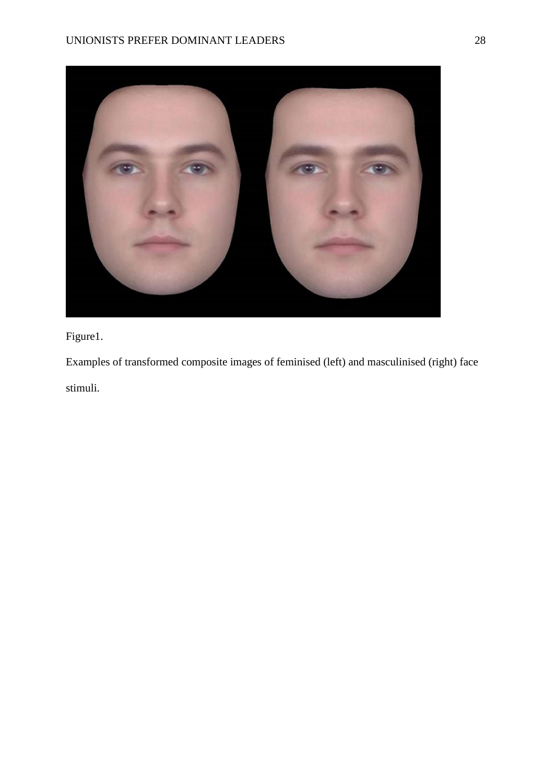

Figure1.

Examples of transformed composite images of feminised (left) and masculinised (right) face stimuli.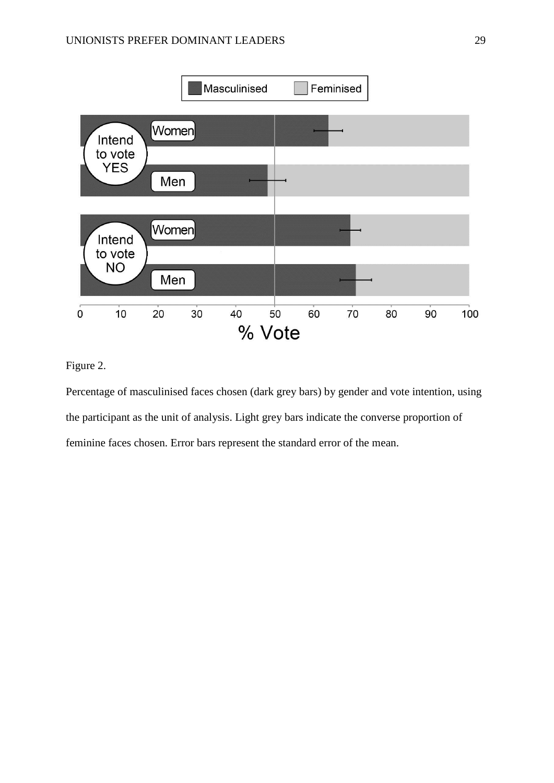

Figure 2.

Percentage of masculinised faces chosen (dark grey bars) by gender and vote intention, using the participant as the unit of analysis. Light grey bars indicate the converse proportion of feminine faces chosen. Error bars represent the standard error of the mean.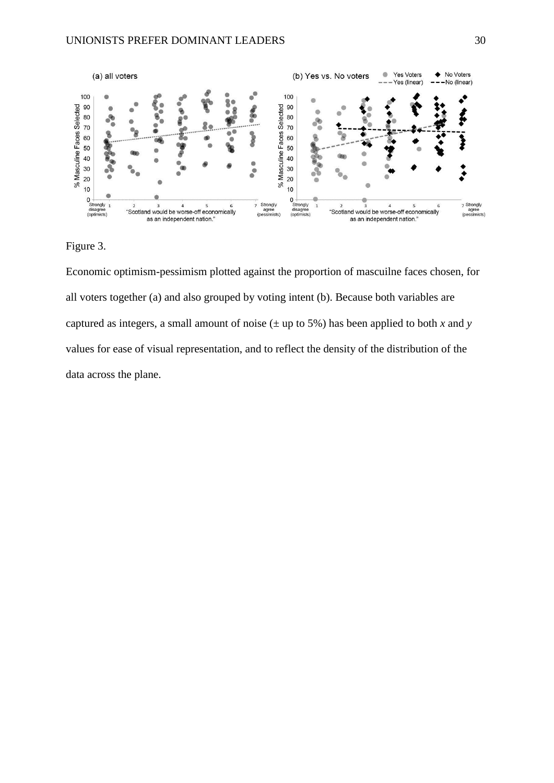

Figure 3.

Economic optimism-pessimism plotted against the proportion of mascuilne faces chosen, for all voters together (a) and also grouped by voting intent (b). Because both variables are captured as integers, a small amount of noise  $(\pm$  up to 5%) has been applied to both *x* and *y* values for ease of visual representation, and to reflect the density of the distribution of the data across the plane.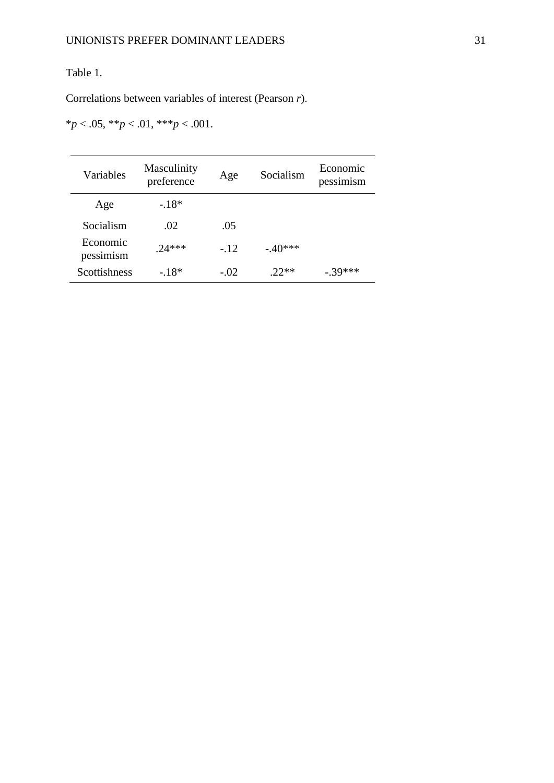# Table 1.

Correlations between variables of interest (Pearson *r*).

\**p* < .05, \*\**p* < .01, \*\*\**p* < .001.

| Variables             | Masculinity<br>preference | Age    | Socialism | Economic<br>pessimism |
|-----------------------|---------------------------|--------|-----------|-----------------------|
| Age                   | $-18*$                    |        |           |                       |
| Socialism             | .02                       | .05    |           |                       |
| Economic<br>pessimism | $24***$                   | $-.12$ | $-.40***$ |                       |
| <b>Scottishness</b>   | $-18*$                    | $-.02$ | $22**$    | - 39***               |